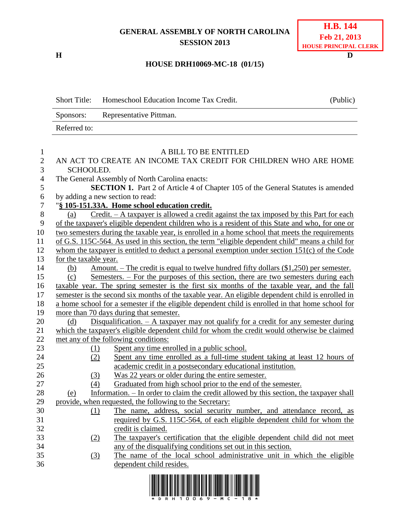## **GENERAL ASSEMBLY OF NORTH CAROLINA SESSION 2013**

**H D**

## **HOUSE DRH10069-MC-18 (01/15)**

|                | <b>Short Title:</b>                                                                               | Homeschool Education Income Tax Credit.                                                                    | (Public) |  |  |
|----------------|---------------------------------------------------------------------------------------------------|------------------------------------------------------------------------------------------------------------|----------|--|--|
|                | Sponsors:                                                                                         | Representative Pittman.                                                                                    |          |  |  |
|                | Referred to:                                                                                      |                                                                                                            |          |  |  |
|                |                                                                                                   |                                                                                                            |          |  |  |
|                |                                                                                                   | A BILL TO BE ENTITLED                                                                                      |          |  |  |
| 2              | AN ACT TO CREATE AN INCOME TAX CREDIT FOR CHILDREN WHO ARE HOME                                   |                                                                                                            |          |  |  |
| 3              | SCHOOLED.                                                                                         |                                                                                                            |          |  |  |
| $\overline{4}$ | The General Assembly of North Carolina enacts:                                                    |                                                                                                            |          |  |  |
| 5              | <b>SECTION 1.</b> Part 2 of Article 4 of Chapter 105 of the General Statutes is amended           |                                                                                                            |          |  |  |
| 6              | by adding a new section to read:                                                                  |                                                                                                            |          |  |  |
| 7              | "§ 105-151.33A. Home school education credit.                                                     |                                                                                                            |          |  |  |
| 8              | (a)                                                                                               | $Credit. - A taxpayer is allowed a credit against the tax imposed by this Part for each$                   |          |  |  |
| 9              | of the taxpayer's eligible dependent children who is a resident of this State and who, for one or |                                                                                                            |          |  |  |
| 10             | two semesters during the taxable year, is enrolled in a home school that meets the requirements   |                                                                                                            |          |  |  |
| 11             |                                                                                                   | of G.S. 115C-564. As used in this section, the term "eligible dependent child" means a child for           |          |  |  |
| 12             |                                                                                                   | whom the taxpayer is entitled to deduct a personal exemption under section $151(c)$ of the Code            |          |  |  |
| 13             | for the taxable year.                                                                             |                                                                                                            |          |  |  |
| 14             | (b)                                                                                               | <u>Amount. – The credit is equal to twelve hundred fifty dollars <math>(\\$1,250)</math> per semester.</u> |          |  |  |
| 15             | (c)                                                                                               | Semesters. – For the purposes of this section, there are two semesters during each                         |          |  |  |
| 16             | taxable year. The spring semester is the first six months of the taxable year, and the fall       |                                                                                                            |          |  |  |

17 semester is the second six months of the taxable year. An eligible dependent child is enrolled in 18 a home school for a semester if the eligible dependent child is enrolled in that home school for 19 more than 70 days during that semester.

| 20 | Disqualification. $- A$ taxpayer may not qualify for a credit for any semester during<br>(d) |
|----|----------------------------------------------------------------------------------------------|
| 21 | which the taxpayer's eligible dependent child for whom the credit would otherwise be claimed |
|    | 22 met any of the following conditions:                                                      |

- 23 (1) Spent any time enrolled in a public school.
- 24 (2) Spent any time enrolled as a full-time student taking at least 12 hours of 25 academic credit in a postsecondary educational institution.
- 26 (3) Was 22 years or older during the entire semester.
- 27 (4) Graduated from high school prior to the end of the semester.
- 28 (e) Information. In order to claim the credit allowed by this section, the taxpayer shall 29 provide, when requested, the following to the Secretary:
- 30 (1) The name, address, social security number, and attendance record, as 31 required by G.S. 115C-564, of each eligible dependent child for whom the 32 credit is claimed.
- 33 (2) The taxpayer's certification that the eligible dependent child did not meet 34 any of the disqualifying conditions set out in this section.
- 35 (3) The name of the local school administrative unit in which the eligible 36 dependent child resides.